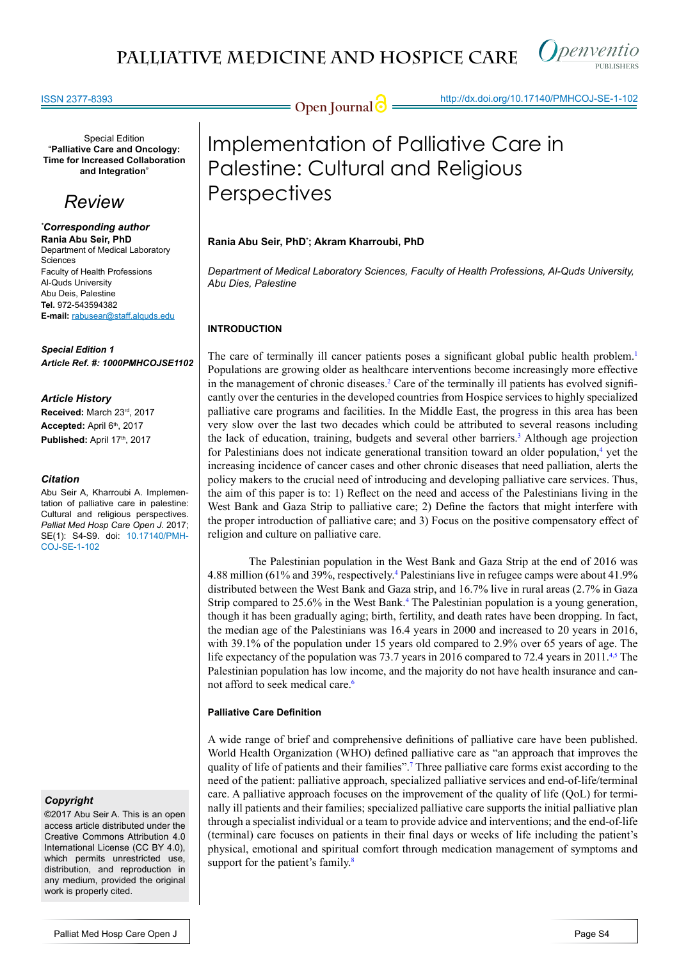

### ISSN 2377-8393

Special Edition "**Palliative Care and Oncology: Time for Increased Collaboration and Integration**"

## *Review*

*\* Corresponding author* **Rania Abu Seir, PhD** Department of Medical Laboratory Sciences Faculty of Health Professions Al-Quds University Abu Deis, Palestine **Tel.** 972-543594382 **E-mail:** rabusear@staff.alquds.edu

*Special Edition 1 Article Ref. #: 1000PMHCOJSE1102*

## *Article History*

**Received:** March 23rd, 2017 **Accepted:** April 6th, 2017 Published: April 17<sup>th</sup>, 2017

### *Citation*

Abu Seir A, Kharroubi A. Implementation of palliative care in palestine: Cultural and religious perspectives. *Palliat Med Hosp Care Open J*. 2017; SE(1): S4-S9. doi: 10.17140/PMH-COJ-SE-1-102

## *Copyright*

©2017 Abu Seir A. This is an open access article distributed under the Creative Commons Attribution 4.0 International License (CC BY 4.0), which permits unrestricted use, distribution, and reproduction in any medium, provided the original work is properly cited.

**Open Journal @** http://dx.doi.org/10.17140/PMHCOJ-SE-1-102

# Implementation of Palliative Care in Palestine: Cultural and Religious **Perspectives**

## **Rania Abu Seir, PhD\* ; Akram Kharroubi, PhD**

*Department of Medical Laboratory Sciences, Faculty of Health Professions, Al-Quds University, Abu Dies, Palestine*

## **INTRODUCTION**

The care of terminally ill cancer patients poses a significant global public health problem.<sup>[1](#page-4-0)</sup> Populations are growing older as healthcare interventions become increasingly more effective in the management of chronic diseases.<sup>[2](#page-4-1)</sup> Care of the terminally ill patients has evolved significantly over the centuries in the developed countries from Hospice services to highly specialized palliative care programs and facilities. In the Middle East, the progress in this area has been very slow over the last two decades which could be attributed to several reasons including the lack of education, training, budgets and several other barriers.<sup>[3](#page-4-2)</sup> Although age projection for Palestinians does not indicate generational transition toward an older population,<sup>[4](#page-4-3)</sup> yet the increasing incidence of cancer cases and other chronic diseases that need palliation, alerts the policy makers to the crucial need of introducing and developing palliative care services. Thus, the aim of this paper is to: 1) Reflect on the need and access of the Palestinians living in the West Bank and Gaza Strip to palliative care; 2) Define the factors that might interfere with the proper introduction of palliative care; and 3) Focus on the positive compensatory effect of religion and culture on palliative care.

The Palestinian population in the West Bank and Gaza Strip at the end of 2016 was 4.88 million (61% and 39%, respectively.[4](#page-4-3) Palestinians live in refugee camps were about 41.9% distributed between the West Bank and Gaza strip, and 16.7% live in rural areas (2.7% in Gaza Strip compared to 25.6% in the West Bank.<sup>[4](#page-4-3)</sup> The Palestinian population is a young generation, though it has been gradually aging; birth, fertility, and death rates have been dropping. In fact, the median age of the Palestinians was 16.4 years in 2000 and increased to 20 years in 2016, with 39.1% of the population under 15 years old compared to 2.9% over 65 years of age. The life expectancy of the population was 73.7 years in 2016 compared to 72.4 years in 2011.<sup>4,5</sup> The Palestinian population has low income, and the majority do not have health insurance and cannot afford to seek medical care.<sup>6</sup>

## **Palliative Care Definition**

A wide range of brief and comprehensive definitions of palliative care have been published. World Health Organization (WHO) defined palliative care as "an approach that improves the quality of life of patients and their families"[.7](#page-4-5) Three palliative care forms exist according to the need of the patient: palliative approach, specialized palliative services and end-of-life/terminal care. A palliative approach focuses on the improvement of the quality of life (QoL) for terminally ill patients and their families; specialized palliative care supports the initial palliative plan through a specialist individual or a team to provide advice and interventions; and the end-of-life (terminal) care focuses on patients in their final days or weeks of life including the patient's physical, emotional and spiritual comfort through medication management of symptoms and support for the patient's family.<sup>[8](#page-4-6)</sup>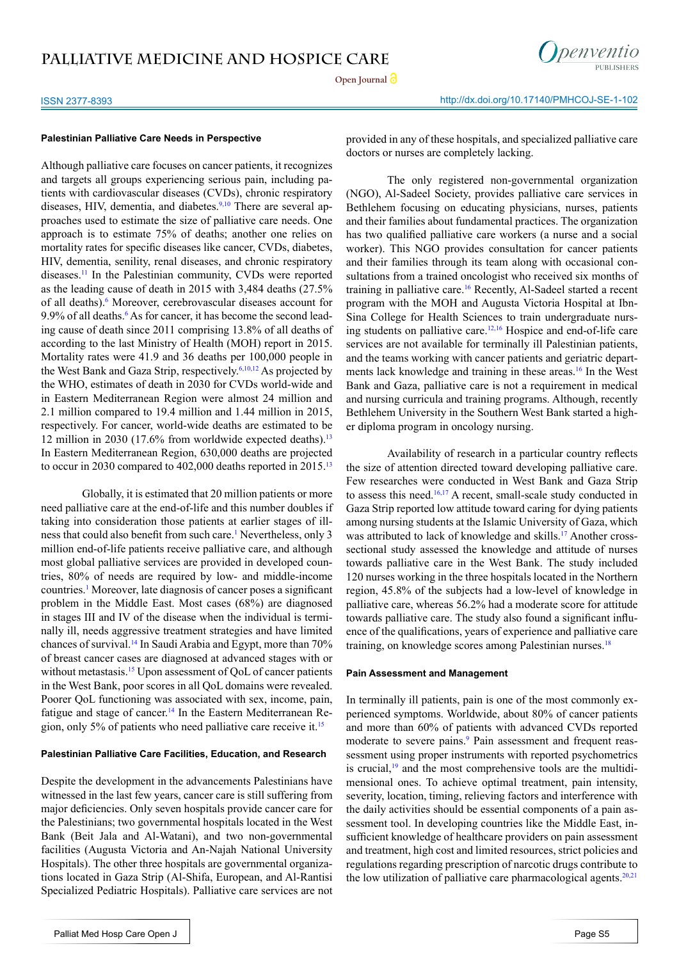



## ISSN 2377-8393 http://dx.doi.org/10.17140/PMHCOJ-SE-1-102

## **Palestinian Palliative Care Needs in Perspective**

Although palliative care focuses on cancer patients, it recognizes and targets all groups experiencing serious pain, including patients with cardiovascular diseases (CVDs), chronic respiratory diseases, HIV, dementia, and diabetes.<sup>9,10</sup> There are several approaches used to estimate the size of palliative care needs. One approach is to estimate 75% of deaths; another one relies on mortality rates for specific diseases like cancer, CVDs, diabetes, HIV, dementia, senility, renal diseases, and chronic respiratory diseases.[11](#page-4-8) In the Palestinian community, CVDs were reported as the leading cause of death in 2015 with 3,484 deaths (27.5% of all deaths).<sup>6</sup> Moreover, cerebrovascular diseases account for 9.9% of all deaths.<sup>6</sup> As for cancer, it has become the second leading cause of death since 2011 comprising 13.8% of all deaths of according to the last Ministry of Health (MOH) report in 2015. Mortality rates were 41.9 and 36 deaths per 100,000 people in the West Bank and Gaza Strip, respectively.[6,10,12](#page-4-4) As projected by the WHO, estimates of death in 2030 for CVDs world-wide and in Eastern Mediterranean Region were almost 24 million and 2.1 million compared to 19.4 million and 1.44 million in 2015, respectively. For cancer, world-wide deaths are estimated to be 12 million in 2030 (17.6% from worldwide expected deaths).<sup>[13](#page-4-9)</sup> In Eastern Mediterranean Region, 630,000 deaths are projected to occur in 2030 compared to 402,000 deaths reported in 2015.<sup>[13](#page-4-9)</sup>

Globally, it is estimated that 20 million patients or more need palliative care at the end-of-life and this number doubles if taking into consideration those patients at earlier stages of ill-ness that could also benefit from such care.<sup>[1](#page-4-0)</sup> Nevertheless, only 3 million end-of-life patients receive palliative care, and although most global palliative services are provided in developed countries, 80% of needs are required by low- and middle-income countries.<sup>[1](#page-4-0)</sup> Moreover, late diagnosis of cancer poses a significant problem in the Middle East. Most cases (68%) are diagnosed in stages III and IV of the disease when the individual is terminally ill, needs aggressive treatment strategies and have limited chances of survival.[14](#page-4-10) In Saudi Arabia and Egypt, more than 70% of breast cancer cases are diagnosed at advanced stages with or without metastasis.<sup>15</sup> Upon assessment of QoL of cancer patients in the West Bank, poor scores in all QoL domains were revealed. Poorer QoL functioning was associated with sex, income, pain, fatigue and stage of cancer.<sup>[14](#page-4-10)</sup> In the Eastern Mediterranean Region, only 5% of patients who need palliative care receive it.[15](#page-4-11)

## **Palestinian Palliative Care Facilities, Education, and Research**

Despite the development in the advancements Palestinians have witnessed in the last few years, cancer care is still suffering from major deficiencies. Only seven hospitals provide cancer care for the Palestinians; two governmental hospitals located in the West Bank (Beit Jala and Al-Watani), and two non-governmental facilities (Augusta Victoria and An-Najah National University Hospitals). The other three hospitals are governmental organizations located in Gaza Strip (Al-Shifa, European, and Al-Rantisi Specialized Pediatric Hospitals). Palliative care services are not

provided in any of these hospitals, and specialized palliative care doctors or nurses are completely lacking.

The only registered non-governmental organization (NGO), Al-Sadeel Society, provides palliative care services in Bethlehem focusing on educating physicians, nurses, patients and their families about fundamental practices. The organization has two qualified palliative care workers (a nurse and a social worker). This NGO provides consultation for cancer patients and their families through its team along with occasional consultations from a trained oncologist who received six months of training in palliative care[.16](#page-4-12) Recently, Al-Sadeel started a recent program with the MOH and Augusta Victoria Hospital at Ibn-Sina College for Health Sciences to train undergraduate nursing students on palliative care.[12,16](#page-4-13) Hospice and end-of-life care services are not available for terminally ill Palestinian patients, and the teams working with cancer patients and geriatric departments lack knowledge and training in these areas.[16](#page-4-12) In the West Bank and Gaza, palliative care is not a requirement in medical and nursing curricula and training programs. Although, recently Bethlehem University in the Southern West Bank started a higher diploma program in oncology nursing.

Availability of research in a particular country reflects the size of attention directed toward developing palliative care. Few researches were conducted in West Bank and Gaza Strip to assess this need.<sup>16,17</sup> A recent, small-scale study conducted in Gaza Strip reported low attitude toward caring for dying patients among nursing students at the Islamic University of Gaza, which was attributed to lack of knowledge and skills.<sup>[17](#page-4-14)</sup> Another crosssectional study assessed the knowledge and attitude of nurses towards palliative care in the West Bank. The study included 120 nurses working in the three hospitals located in the Northern region, 45.8% of the subjects had a low-level of knowledge in palliative care, whereas 56.2% had a moderate score for attitude towards palliative care. The study also found a significant influence of the qualifications, years of experience and palliative care training, on knowledge scores among Palestinian nurses.<sup>18</sup>

## **Pain Assessment and Management**

In terminally ill patients, pain is one of the most commonly experienced symptoms. Worldwide, about 80% of cancer patients and more than 60% of patients with advanced CVDs reported moderate to severe pains.<sup>[9](#page-4-7)</sup> Pain assessment and frequent reassessment using proper instruments with reported psychometrics is crucial, $19$  and the most comprehensive tools are the multidimensional ones. To achieve optimal treatment, pain intensity, severity, location, timing, relieving factors and interference with the daily activities should be essential components of a pain assessment tool. In developing countries like the Middle East, insufficient knowledge of healthcare providers on pain assessment and treatment, high cost and limited resources, strict policies and regulations regarding prescription of narcotic drugs contribute to the low utilization of palliative care pharmacological agents. $20,21$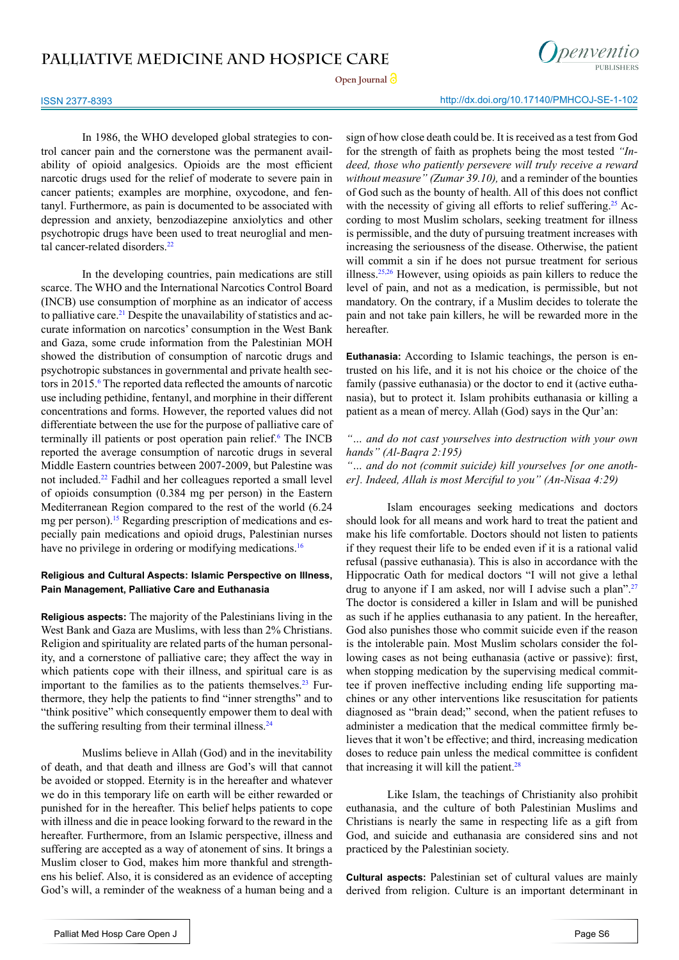



ISSN 2377-8393 http://dx.doi.org/10.17140/PMHCOJ-SE-1-102

In 1986, the WHO developed global strategies to control cancer pain and the cornerstone was the permanent availability of opioid analgesics. Opioids are the most efficient narcotic drugs used for the relief of moderate to severe pain in cancer patients; examples are morphine, oxycodone, and fentanyl. Furthermore, as pain is documented to be associated with depression and anxiety, benzodiazepine anxiolytics and other psychotropic drugs have been used to treat neuroglial and men-tal cancer-related disorders<sup>[22](#page-5-0)</sup>

In the developing countries, pain medications are still scarce. The WHO and the International Narcotics Control Board (INCB) use consumption of morphine as an indicator of access to palliative care.<sup>[21](#page-5-1)</sup> Despite the unavailability of statistics and accurate information on narcotics' consumption in the West Bank and Gaza, some crude information from the Palestinian MOH showed the distribution of consumption of narcotic drugs and psychotropic substances in governmental and private health sectors in 2015.<sup>6</sup> The reported data reflected the amounts of narcotic use including pethidine, fentanyl, and morphine in their different concentrations and forms. However, the reported values did not differentiate between the use for the purpose of palliative care of terminally ill patients or post operation pain relief.<sup>[6](#page-4-4)</sup> The INCB reported the average consumption of narcotic drugs in several Middle Eastern countries between 2007-2009, but Palestine was not included.[22](#page-5-0) Fadhil and her colleagues reported a small level of opioids consumption (0.384 mg per person) in the Eastern Mediterranean Region compared to the rest of the world (6.24 mg per person).<sup>15</sup> Regarding prescription of medications and especially pain medications and opioid drugs, Palestinian nurses have no privilege in ordering or modifying medications.<sup>16</sup>

## **Religious and Cultural Aspects: Islamic Perspective on Illness, Pain Management, Palliative Care and Euthanasia**

**Religious aspects:** The majority of the Palestinians living in the West Bank and Gaza are Muslims, with less than 2% Christians. Religion and spirituality are related parts of the human personality, and a cornerstone of palliative care; they affect the way in which patients cope with their illness, and spiritual care is as important to the families as to the patients themselves. $23$  Furthermore, they help the patients to find "inner strengths" and to "think positive" which consequently empower them to deal with the suffering resulting from their terminal illness.<sup>[24](#page-5-3)</sup>

Muslims believe in Allah (God) and in the inevitability of death, and that death and illness are God's will that cannot be avoided or stopped. Eternity is in the hereafter and whatever we do in this temporary life on earth will be either rewarded or punished for in the hereafter. This belief helps patients to cope with illness and die in peace looking forward to the reward in the hereafter. Furthermore, from an Islamic perspective, illness and suffering are accepted as a way of atonement of sins. It brings a Muslim closer to God, makes him more thankful and strengthens his belief. Also, it is considered as an evidence of accepting God's will, a reminder of the weakness of a human being and a

sign of how close death could be. It is received as a test from God for the strength of faith as prophets being the most tested *"Indeed, those who patiently persevere will truly receive a reward without measure" (Zumar 39.10),* and a reminder of the bounties of God such as the bounty of health. All of this does not conflict with the necessity of giving all efforts to relief suffering.<sup>[25](#page-5-4)</sup> According to most Muslim scholars, seeking treatment for illness is permissible, and the duty of pursuing treatment increases with increasing the seriousness of the disease. Otherwise, the patient will commit a sin if he does not pursue treatment for serious illness.[25,26](#page-5-4) However, using opioids as pain killers to reduce the level of pain, and not as a medication, is permissible, but not mandatory. On the contrary, if a Muslim decides to tolerate the pain and not take pain killers, he will be rewarded more in the hereafter.

**Euthanasia:** According to Islamic teachings, the person is entrusted on his life, and it is not his choice or the choice of the family (passive euthanasia) or the doctor to end it (active euthanasia), but to protect it. Islam prohibits euthanasia or killing a patient as a mean of mercy. Allah (God) says in the Qur'an:

*"… and do not cast yourselves into destruction with your own hands" (Al-Baqra 2:195)*

*"… and do not (commit suicide) kill yourselves [or one another]. Indeed, Allah is most Merciful to you" (An-Nisaa 4:29)*

Islam encourages seeking medications and doctors should look for all means and work hard to treat the patient and make his life comfortable. Doctors should not listen to patients if they request their life to be ended even if it is a rational valid refusal (passive euthanasia). This is also in accordance with the Hippocratic Oath for medical doctors "I will not give a lethal drug to anyone if I am asked, nor will I advise such a plan".<sup>27</sup> The doctor is considered a killer in Islam and will be punished as such if he applies euthanasia to any patient. In the hereafter, God also punishes those who commit suicide even if the reason is the intolerable pain. Most Muslim scholars consider the following cases as not being euthanasia (active or passive): first, when stopping medication by the supervising medical committee if proven ineffective including ending life supporting machines or any other interventions like resuscitation for patients diagnosed as "brain dead;" second, when the patient refuses to administer a medication that the medical committee firmly believes that it won't be effective; and third, increasing medication doses to reduce pain unless the medical committee is confident that increasing it will kill the patient. $28$ 

Like Islam, the teachings of Christianity also prohibit euthanasia, and the culture of both Palestinian Muslims and Christians is nearly the same in respecting life as a gift from God, and suicide and euthanasia are considered sins and not practiced by the Palestinian society.

**Cultural aspects:** Palestinian set of cultural values are mainly derived from religion. Culture is an important determinant in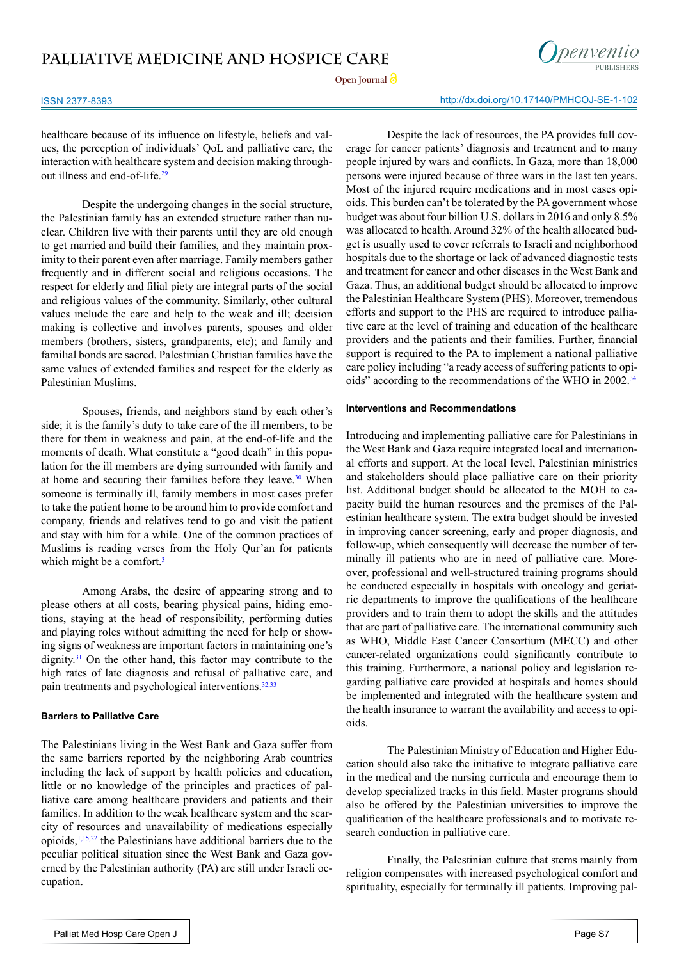Open Journal<sup>1</sup>



## ISSN 2377-8393 http://dx.doi.org/10.17140/PMHCOJ-SE-1-102

healthcare because of its influence on lifestyle, beliefs and values, the perception of individuals' QoL and palliative care, the interaction with healthcare system and decision making through-out illness and end-of-life.<sup>[29](#page-5-7)</sup>

Despite the undergoing changes in the social structure, the Palestinian family has an extended structure rather than nuclear. Children live with their parents until they are old enough to get married and build their families, and they maintain proximity to their parent even after marriage. Family members gather frequently and in different social and religious occasions. The respect for elderly and filial piety are integral parts of the social and religious values of the community. Similarly, other cultural values include the care and help to the weak and ill; decision making is collective and involves parents, spouses and older members (brothers, sisters, grandparents, etc); and family and familial bonds are sacred. Palestinian Christian families have the same values of extended families and respect for the elderly as Palestinian Muslims.

Spouses, friends, and neighbors stand by each other's side; it is the family's duty to take care of the ill members, to be there for them in weakness and pain, at the end-of-life and the moments of death. What constitute a "good death" in this population for the ill members are dying surrounded with family and at home and securing their families before they leave.<sup>[30](#page-5-8)</sup> When someone is terminally ill, family members in most cases prefer to take the patient home to be around him to provide comfort and company, friends and relatives tend to go and visit the patient and stay with him for a while. One of the common practices of Muslims is reading verses from the Holy Qur'an for patients which might be a comfort.<sup>[3](#page-4-2)</sup>

Among Arabs, the desire of appearing strong and to please others at all costs, bearing physical pains, hiding emotions, staying at the head of responsibility, performing duties and playing roles without admitting the need for help or showing signs of weakness are important factors in maintaining one's dignity.<sup>[31](#page-5-9)</sup> On the other hand, this factor may contribute to the high rates of late diagnosis and refusal of palliative care, and pain treatments and psychological interventions.<sup>[32,33](#page-5-10)</sup>

### **Barriers to Palliative Care**

The Palestinians living in the West Bank and Gaza suffer from the same barriers reported by the neighboring Arab countries including the lack of support by health policies and education, little or no knowledge of the principles and practices of palliative care among healthcare providers and patients and their families. In addition to the weak healthcare system and the scarcity of resources and unavailability of medications especially opioids, $1,15,22$  $1,15,22$  the Palestinians have additional barriers due to the peculiar political situation since the West Bank and Gaza governed by the Palestinian authority (PA) are still under Israeli occupation.

Despite the lack of resources, the PA provides full coverage for cancer patients' diagnosis and treatment and to many people injured by wars and conflicts. In Gaza, more than 18,000 persons were injured because of three wars in the last ten years. Most of the injured require medications and in most cases opioids. This burden can't be tolerated by the PA government whose budget was about four billion U.S. dollars in 2016 and only 8.5% was allocated to health. Around 32% of the health allocated budget is usually used to cover referrals to Israeli and neighborhood hospitals due to the shortage or lack of advanced diagnostic tests and treatment for cancer and other diseases in the West Bank and Gaza. Thus, an additional budget should be allocated to improve the Palestinian Healthcare System (PHS). Moreover, tremendous efforts and support to the PHS are required to introduce palliative care at the level of training and education of the healthcare providers and the patients and their families. Further, financial support is required to the PA to implement a national palliative care policy including "a ready access of suffering patients to opi-oids" according to the recommendations of the WHO in 2002.<sup>[34](#page-5-11)</sup>

## **Interventions and Recommendations**

Introducing and implementing palliative care for Palestinians in the West Bank and Gaza require integrated local and international efforts and support. At the local level, Palestinian ministries and stakeholders should place palliative care on their priority list. Additional budget should be allocated to the MOH to capacity build the human resources and the premises of the Palestinian healthcare system. The extra budget should be invested in improving cancer screening, early and proper diagnosis, and follow-up, which consequently will decrease the number of terminally ill patients who are in need of palliative care. Moreover, professional and well-structured training programs should be conducted especially in hospitals with oncology and geriatric departments to improve the qualifications of the healthcare providers and to train them to adopt the skills and the attitudes that are part of palliative care. The international community such as WHO, Middle East Cancer Consortium (MECC) and other cancer-related organizations could significantly contribute to this training. Furthermore, a national policy and legislation regarding palliative care provided at hospitals and homes should be implemented and integrated with the healthcare system and the health insurance to warrant the availability and access to opioids.

The Palestinian Ministry of Education and Higher Education should also take the initiative to integrate palliative care in the medical and the nursing curricula and encourage them to develop specialized tracks in this field. Master programs should also be offered by the Palestinian universities to improve the qualification of the healthcare professionals and to motivate research conduction in palliative care.

Finally, the Palestinian culture that stems mainly from religion compensates with increased psychological comfort and spirituality, especially for terminally ill patients. Improving pal-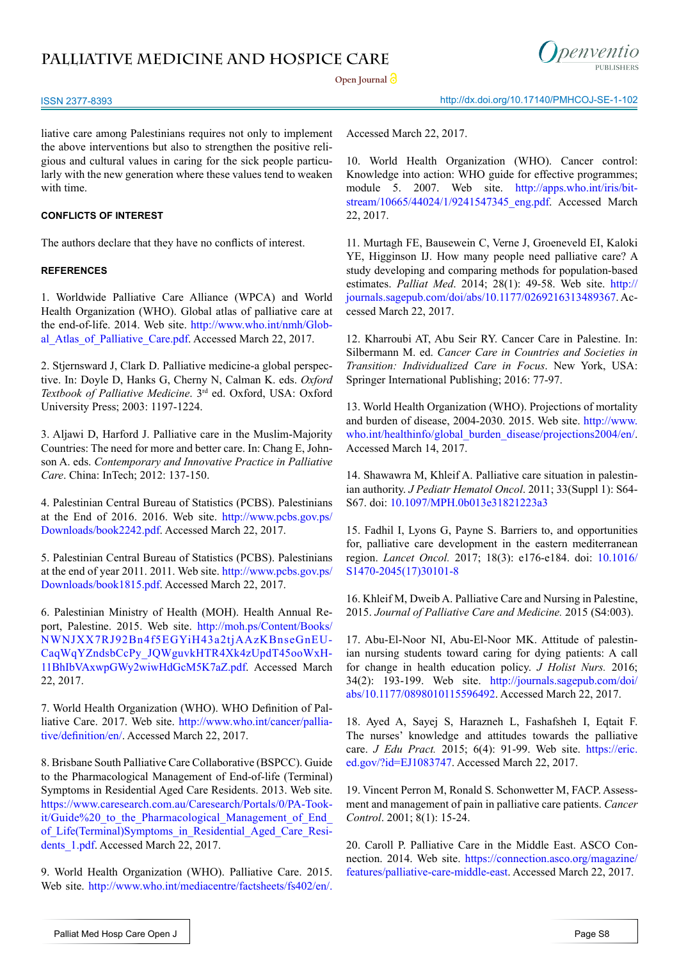

Open Journal<sup>1</sup>

ISSN 2377-8393 http://dx.doi.org/10.17140/PMHCOJ-SE-1-102

liative care among Palestinians requires not only to implement the above interventions but also to strengthen the positive religious and cultural values in caring for the sick people particularly with the new generation where these values tend to weaken with time.

## **CONFLICTS OF INTEREST**

The authors declare that they have no conflicts of interest.

### **REFERENCES**

<span id="page-4-0"></span>1. Worldwide Palliative Care Alliance (WPCA) and World Health Organization (WHO). Global atlas of palliative care at the end-of-life. 2014. Web site. [http://www.who.int/nmh/Glob](http://www.who.int/nmh/Global_Atlas_of_Palliative_Care.pdf)al Atlas of Palliative Care.pdf. Accessed March 22, 2017.

<span id="page-4-1"></span>2. Stjernsward J, Clark D. Palliative medicine-a global perspective. In: Doyle D, Hanks G, Cherny N, Calman K. eds. *Oxford Textbook of Palliative Medicine*. 3rd ed. Oxford, USA: Oxford University Press; 2003: 1197-1224.

<span id="page-4-2"></span>3. Aljawi D, Harford J. Palliative care in the Muslim-Majority Countries: The need for more and better care. In: Chang E, Johnson A. eds. *Contemporary and Innovative Practice in Palliative Care*. China: InTech; 2012: 137-150.

<span id="page-4-3"></span>4. Palestinian Central Bureau of Statistics (PCBS). Palestinians at the End of 2016. 2016. Web site. [http://www.pcbs.gov.ps/](http://www.pcbs.gov.ps/Downloads/book2242.pdf) [Downloads/book2242.pdf](http://www.pcbs.gov.ps/Downloads/book2242.pdf). Accessed March 22, 2017.

5. Palestinian Central Bureau of Statistics (PCBS). Palestinians at the end of year 2011. 2011. Web site. [http://www.pcbs.gov.ps/](http://www.pcbs.gov.ps/Downloads/book1815.pdf) [Downloads/book1815.pdf](http://www.pcbs.gov.ps/Downloads/book1815.pdf). Accessed March 22, 2017.

<span id="page-4-4"></span>6. Palestinian Ministry of Health (MOH). Health Annual Report, Palestine. 2015. Web site. [http://moh.ps/Content/Books/](http://moh.ps/Content/Books/NWNJXX7RJ92Bn4f5EGYiH43a2tjAAzKBnseGnEUCaqWqYZndsbCcPy_JQWguvkHTR4Xk4zUpdT45ooWxH11BhIbVAxwpGWy2wiwHdGcM5K7aZ.pdf) [NWNJXX7RJ92Bn4f5EGYiH43a2tjAAzKBnseGnEU](http://moh.ps/Content/Books/NWNJXX7RJ92Bn4f5EGYiH43a2tjAAzKBnseGnEUCaqWqYZndsbCcPy_JQWguvkHTR4Xk4zUpdT45ooWxH11BhIbVAxwpGWy2wiwHdGcM5K7aZ.pdf)-[CaqWqYZndsbCcPy\\_JQWguvkHTR4Xk4zUpdT45ooWxH](http://moh.ps/Content/Books/NWNJXX7RJ92Bn4f5EGYiH43a2tjAAzKBnseGnEUCaqWqYZndsbCcPy_JQWguvkHTR4Xk4zUpdT45ooWxH11BhIbVAxwpGWy2wiwHdGcM5K7aZ.pdf)-[11BhIbVAxwpGWy2wiwHdGcM5K7aZ.pdf.](http://moh.ps/Content/Books/NWNJXX7RJ92Bn4f5EGYiH43a2tjAAzKBnseGnEUCaqWqYZndsbCcPy_JQWguvkHTR4Xk4zUpdT45ooWxH11BhIbVAxwpGWy2wiwHdGcM5K7aZ.pdf) Accessed March 22, 2017.

<span id="page-4-5"></span>7. World Health Organization (WHO). WHO Definition of Palliative Care. 2017. Web site. [http://www.who.int/cancer/pallia](http://www.who.int/cancer/palliative/definition/en/)[tive/definition/en/](http://www.who.int/cancer/palliative/definition/en/). Accessed March 22, 2017.

<span id="page-4-6"></span>8. Brisbane South Palliative Care Collaborative (BSPCC). Guide to the Pharmacological Management of End-of-life (Terminal) Symptoms in Residential Aged Care Residents. 2013. Web site. [https://www.caresearch.com.au/Caresearch/Portals/0/PA-Took](https://www.caresearch.com.au/Caresearch/Portals/0/PA-Tookit/Guide%20_to_the_Pharmacological_Management_of_End_of_Life(Terminal)Symptoms_in_Residential_Aged_Care_Residents_1.pdf)it/Guide%20 to the Pharmacological Management of End [of\\_Life\(Terminal\)Symptoms\\_in\\_Residential\\_Aged\\_Care\\_Resi](https://www.caresearch.com.au/Caresearch/Portals/0/PA-Tookit/Guide%20_to_the_Pharmacological_Management_of_End_of_Life(Terminal)Symptoms_in_Residential_Aged_Care_Residents_1.pdf)dents 1.pdf. Accessed March 22, 2017.

<span id="page-4-7"></span>9. World Health Organization (WHO). Palliative Care. 2015. Web site. <http://www.who.int/mediacentre/factsheets/fs402/en/>.

Accessed March 22, 2017.

10. World Health Organization (WHO). Cancer control: Knowledge into action: WHO guide for effective programmes; module 5. 2007. Web site. [http://apps.who.int/iris/bit](http://apps.who.int/iris/bitstream/10665/44024/1/9241547345_eng.pdf)[stream/10665/44024/1/9241547345\\_eng.pdf.](http://apps.who.int/iris/bitstream/10665/44024/1/9241547345_eng.pdf) Accessed March 22, 2017.

<span id="page-4-8"></span>11. Murtagh FE, Bausewein C, Verne J, Groeneveld EI, Kaloki YE, Higginson IJ. How many people need palliative care? A study developing and comparing methods for population-based estimates. *Palliat Med*. 2014; 28(1): 49-58. Web site. http:// journals.sagepub.com/doi/abs/10.1177/0269216313489367. Accessed March 22, 2017.

<span id="page-4-13"></span>12. Kharroubi AT, Abu Seir RY. Cancer Care in Palestine. In: Silbermann M. ed. *Cancer Care in Countries and Societies in Transition: Individualized Care in Focus*. New York, USA: Springer International Publishing; 2016: 77-97.

<span id="page-4-9"></span>13. World Health Organization (WHO). Projections of mortality and burden of disease, 2004-2030. 2015. Web site. [http://www.](http://www.who.int/healthinfo/global_burden_disease/projections2004/en/) [who.int/healthinfo/global\\_burden\\_disease/projections2004/en/.](http://www.who.int/healthinfo/global_burden_disease/projections2004/en/) Accessed March 14, 2017.

<span id="page-4-10"></span>14. Shawawra M, Khleif A. Palliative care situation in palestinian authority. *J Pediatr Hematol Oncol*. 2011; 33(Suppl 1): S64- S67. doi: [10.1097/MPH.0b013e31821223a3](http://journals.lww.com/jpho-online/Abstract/2011/04001/Palliative_Care_Situation_in_Palestinian_Authority.15.aspx)

<span id="page-4-11"></span>15. Fadhil I, Lyons G, Payne S. Barriers to, and opportunities for, palliative care development in the eastern mediterranean region. *Lancet Oncol.* 2017; 18(3): e176-e184. doi: [10.1016/](http://www.sciencedirect.com/science/article/pii/S1470204517301018) [S1470-2045\(17\)30101-8](http://www.sciencedirect.com/science/article/pii/S1470204517301018)

<span id="page-4-12"></span>16. Khleif M, Dweib A. Palliative Care and Nursing in Palestine, 2015. *Journal of Palliative Care and Medicine.* 2015 (S4:003).

<span id="page-4-14"></span>17. Abu-El-Noor NI, Abu-El-Noor MK. Attitude of palestinian nursing students toward caring for dying patients: A call for change in health education policy. *J Holist Nurs.* 2016; 34(2): 193-199. Web site. [http://journals.sagepub.com/doi/](http://journals.sagepub.com/doi/abs/10.1177/0898010115596492) [abs/10.1177/0898010115596492](http://journals.sagepub.com/doi/abs/10.1177/0898010115596492). Accessed March 22, 2017.

<span id="page-4-15"></span>18. Ayed A, Sayej S, Harazneh L, Fashafsheh I, Eqtait F. The nurses' knowledge and attitudes towards the palliative care. *J Edu Pract.* 2015; 6(4): 91-99. Web site. [https://eric.](https://eric.ed.gov/%3Fid%3DEJ1083747) [ed.gov/?id=EJ1083747](https://eric.ed.gov/%3Fid%3DEJ1083747). Accessed March 22, 2017.

<span id="page-4-16"></span>19. Vincent Perron M, Ronald S. Schonwetter M, FACP. Assessment and management of pain in palliative care patients. *Cancer Control*. 2001; 8(1): 15-24.

<span id="page-4-17"></span>20. Caroll P. Palliative Care in the Middle East. ASCO Connection. 2014. Web site. [https://connection.asco.org/magazine/](https://connection.asco.org/magazine/features/palliative-care-middle-east) [features/palliative-care-middle-east](https://connection.asco.org/magazine/features/palliative-care-middle-east). Accessed March 22, 2017.